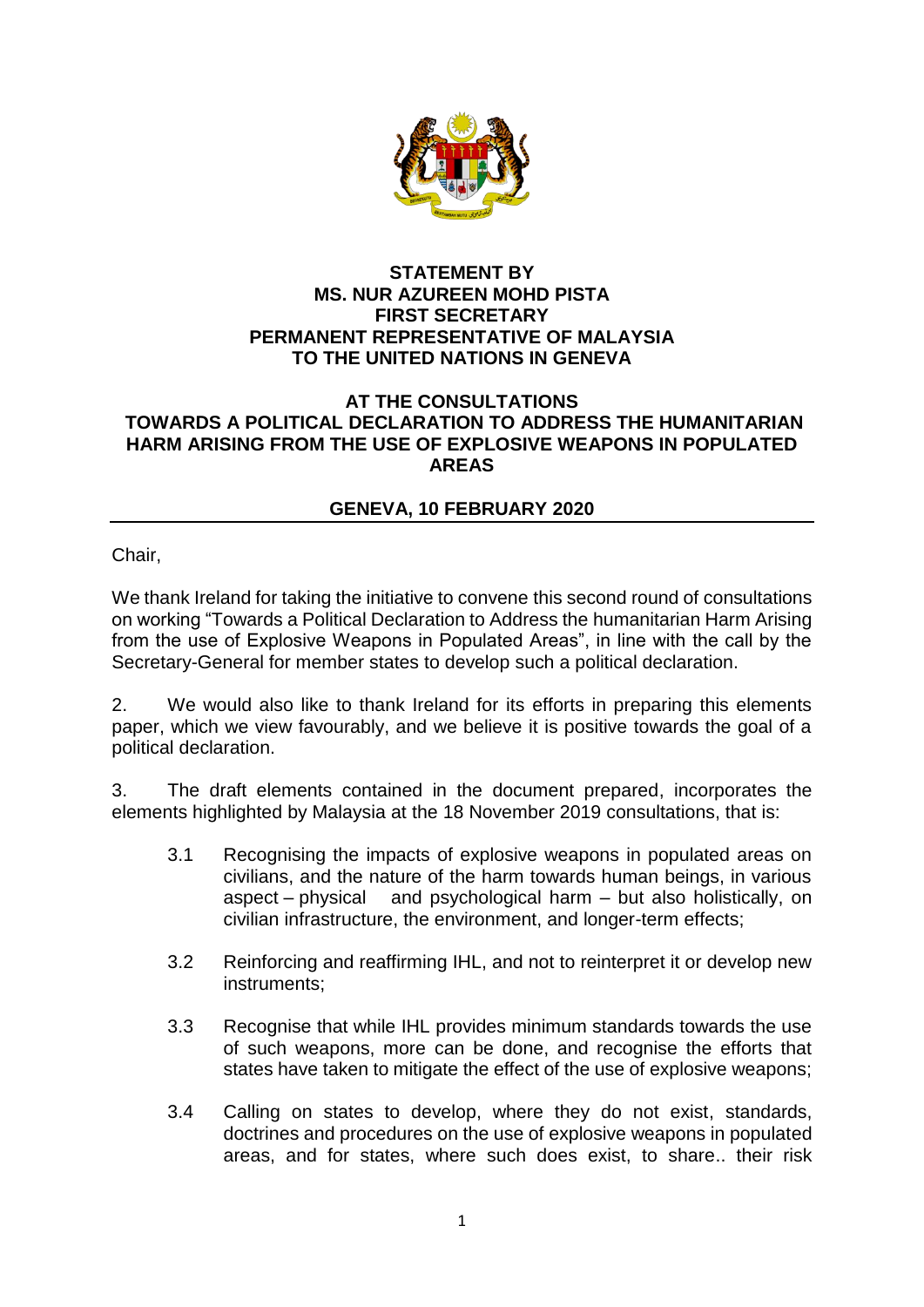

## **STATEMENT BY MS. NUR AZUREEN MOHD PISTA FIRST SECRETARY PERMANENT REPRESENTATIVE OF MALAYSIA TO THE UNITED NATIONS IN GENEVA**

## **AT THE CONSULTATIONS TOWARDS A POLITICAL DECLARATION TO ADDRESS THE HUMANITARIAN HARM ARISING FROM THE USE OF EXPLOSIVE WEAPONS IN POPULATED AREAS**

## **GENEVA, 10 FEBRUARY 2020**

Chair,

We thank Ireland for taking the initiative to convene this second round of consultations on working "Towards a Political Declaration to Address the humanitarian Harm Arising from the use of Explosive Weapons in Populated Areas", in line with the call by the Secretary-General for member states to develop such a political declaration.

2. We would also like to thank Ireland for its efforts in preparing this elements paper, which we view favourably, and we believe it is positive towards the goal of a political declaration.

3. The draft elements contained in the document prepared, incorporates the elements highlighted by Malaysia at the 18 November 2019 consultations, that is:

- 3.1 Recognising the impacts of explosive weapons in populated areas on civilians, and the nature of the harm towards human beings, in various aspect – physical and psychological harm – but also holistically, on civilian infrastructure, the environment, and longer-term effects;
- 3.2 Reinforcing and reaffirming IHL, and not to reinterpret it or develop new instruments;
- 3.3 Recognise that while IHL provides minimum standards towards the use of such weapons, more can be done, and recognise the efforts that states have taken to mitigate the effect of the use of explosive weapons;
- 3.4 Calling on states to develop, where they do not exist, standards, doctrines and procedures on the use of explosive weapons in populated areas, and for states, where such does exist, to share.. their risk